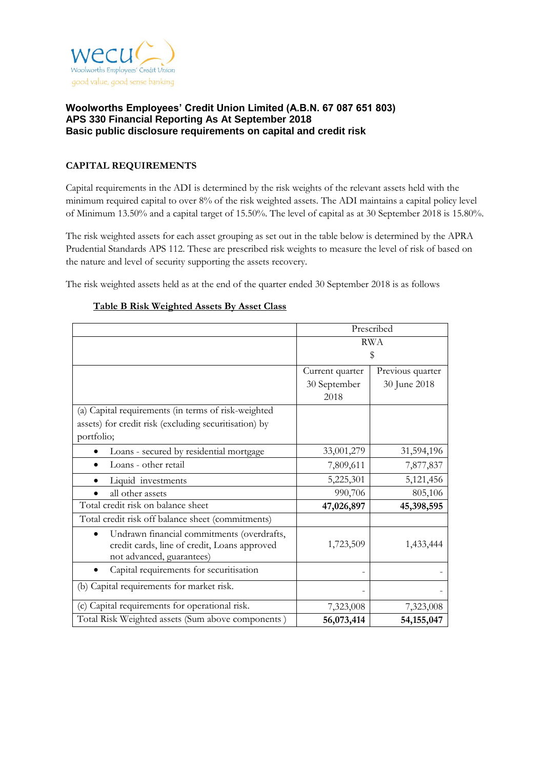

# **CAPITAL REQUIREMENTS**

Capital requirements in the ADI is determined by the risk weights of the relevant assets held with the minimum required capital to over 8% of the risk weighted assets. The ADI maintains a capital policy level of Minimum 13.50% and a capital target of 15.50%. The level of capital as at 30 September 2018 is 15.80%.

The risk weighted assets for each asset grouping as set out in the table below is determined by the APRA Prudential Standards APS 112. These are prescribed risk weights to measure the level of risk of based on the nature and level of security supporting the assets recovery.

The risk weighted assets held as at the end of the quarter ended 30 September 2018 is as follows

|                                                                                                                         | Prescribed      |                  |  |
|-------------------------------------------------------------------------------------------------------------------------|-----------------|------------------|--|
|                                                                                                                         | <b>RWA</b>      |                  |  |
|                                                                                                                         | \$              |                  |  |
|                                                                                                                         | Current quarter | Previous quarter |  |
|                                                                                                                         | 30 September    | 30 June 2018     |  |
|                                                                                                                         | 2018            |                  |  |
| (a) Capital requirements (in terms of risk-weighted                                                                     |                 |                  |  |
| assets) for credit risk (excluding securitisation) by                                                                   |                 |                  |  |
| portfolio;                                                                                                              |                 |                  |  |
| Loans - secured by residential mortgage                                                                                 | 33,001,279      | 31,594,196       |  |
| Loans - other retail                                                                                                    | 7,809,611       | 7,877,837        |  |
| Liquid investments                                                                                                      | 5,225,301       | 5,121,456        |  |
| all other assets                                                                                                        | 990,706         | 805,106          |  |
| Total credit risk on balance sheet                                                                                      | 47,026,897      | 45,398,595       |  |
| Total credit risk off balance sheet (commitments)                                                                       |                 |                  |  |
| Undrawn financial commitments (overdrafts,<br>credit cards, line of credit, Loans approved<br>not advanced, guarantees) | 1,723,509       | 1,433,444        |  |
| Capital requirements for securitisation                                                                                 |                 |                  |  |
| (b) Capital requirements for market risk.                                                                               |                 |                  |  |
| (c) Capital requirements for operational risk.                                                                          | 7,323,008       | 7,323,008        |  |
| Total Risk Weighted assets (Sum above components)                                                                       | 56,073,414      | 54,155,047       |  |

#### **Table B Risk Weighted Assets By Asset Class**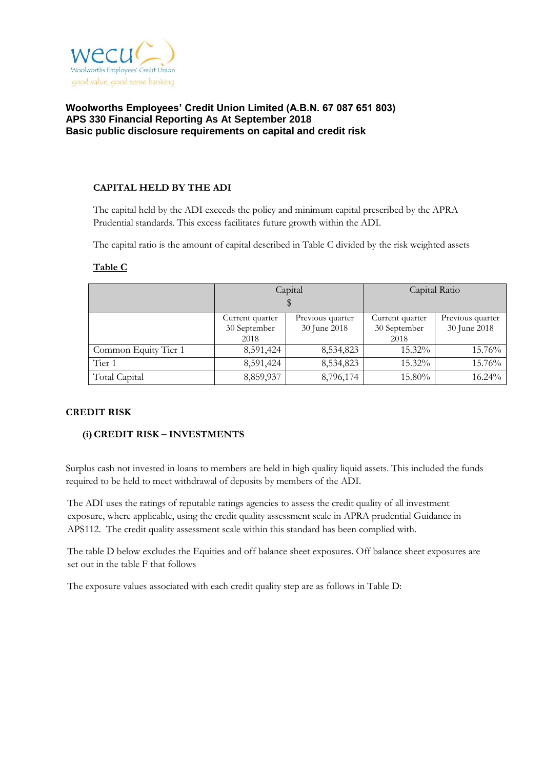

## **CAPITAL HELD BY THE ADI**

The capital held by the ADI exceeds the policy and minimum capital prescribed by the APRA Prudential standards. This excess facilitates future growth within the ADI.

The capital ratio is the amount of capital described in Table C divided by the risk weighted assets

|                      |                                         | Capital                          | Capital Ratio                           |                                  |  |
|----------------------|-----------------------------------------|----------------------------------|-----------------------------------------|----------------------------------|--|
|                      |                                         |                                  |                                         |                                  |  |
|                      | Current quarter<br>30 September<br>2018 | Previous quarter<br>30 June 2018 | Current quarter<br>30 September<br>2018 | Previous quarter<br>30 June 2018 |  |
| Common Equity Tier 1 | 8,591,424                               | 8,534,823                        | 15.32%                                  | 15.76%                           |  |
| Tier 1               | 8,591,424                               | 8,534,823                        | 15.32%                                  | 15.76%                           |  |
| Total Capital        | 8,859,937                               | 8,796,174                        | 15.80%                                  | 16.24%                           |  |

#### **Table C**

#### **CREDIT RISK**

# **(i)CREDIT RISK – INVESTMENTS**

Surplus cash not invested in loans to members are held in high quality liquid assets. This included the funds required to be held to meet withdrawal of deposits by members of the ADI.

The ADI uses the ratings of reputable ratings agencies to assess the credit quality of all investment exposure, where applicable, using the credit quality assessment scale in APRA prudential Guidance in APS112. The credit quality assessment scale within this standard has been complied with.

The table D below excludes the Equities and off balance sheet exposures. Off balance sheet exposures are set out in the table F that follows

The exposure values associated with each credit quality step are as follows in Table D: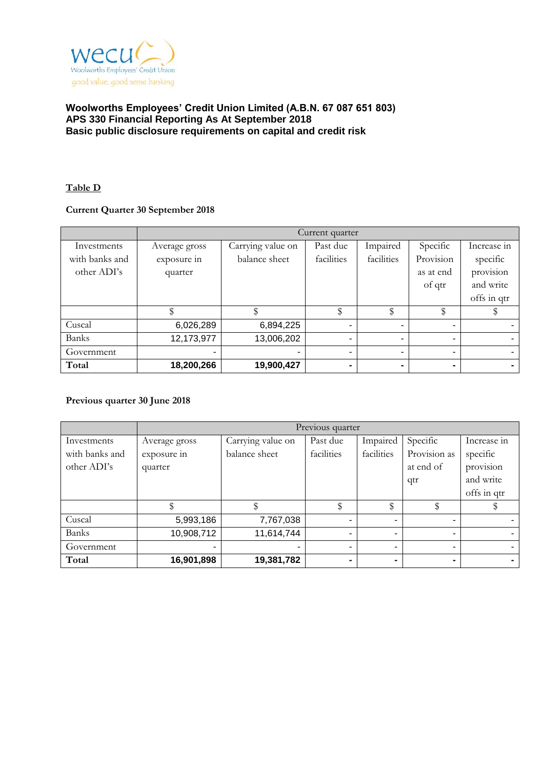

### **Table D**

# **Current Quarter 30 September 2018**

|                | Current quarter |                   |                      |                |                |             |  |
|----------------|-----------------|-------------------|----------------------|----------------|----------------|-------------|--|
| Investments    | Average gross   | Carrying value on | Impaired<br>Past due |                | Specific       | Increase in |  |
| with banks and | exposure in     | balance sheet     | facilities           | facilities     | Provision      | specific    |  |
| other ADI's    | quarter         |                   |                      |                | as at end      | provision   |  |
|                |                 |                   |                      |                | of qtr         | and write   |  |
|                |                 |                   |                      |                |                | offs in qtr |  |
|                |                 |                   | đ٢<br>J              | \$             | \$             |             |  |
| Cuscal         | 6,026,289       | 6,894,225         | -                    | $\blacksquare$ | $\blacksquare$ |             |  |
| <b>Banks</b>   | 12,173,977      | 13,006,202        | -                    | $\blacksquare$ | -              |             |  |
| Government     | $\blacksquare$  |                   | -                    | ۰              | -              |             |  |
| Total          | 18,200,266      | 19,900,427        | -                    | $\blacksquare$ | $\blacksquare$ |             |  |

#### **Previous quarter 30 June 2018**

|                | Previous quarter |                   |            |            |                |             |  |
|----------------|------------------|-------------------|------------|------------|----------------|-------------|--|
| Investments    | Average gross    | Carrying value on | Past due   | Impaired   | Specific       | Increase in |  |
| with banks and | exposure in      | balance sheet     | facilities | facilities | Provision as   | specific    |  |
| other ADI's    | quarter          |                   |            |            | at end of      | provision   |  |
|                |                  |                   |            |            | qtr            | and write   |  |
|                |                  |                   |            |            |                | offs in qtr |  |
|                |                  |                   | \$         | \$         |                |             |  |
| Cuscal         | 5,993,186        | 7,767,038         |            |            | ۰              |             |  |
| <b>Banks</b>   | 10,908,712       | 11,614,744        |            |            | ۰              |             |  |
| Government     | $\blacksquare$   |                   |            |            | ۰              |             |  |
| Total          | 16,901,898       | 19,381,782        |            |            | $\blacksquare$ | $\sim$      |  |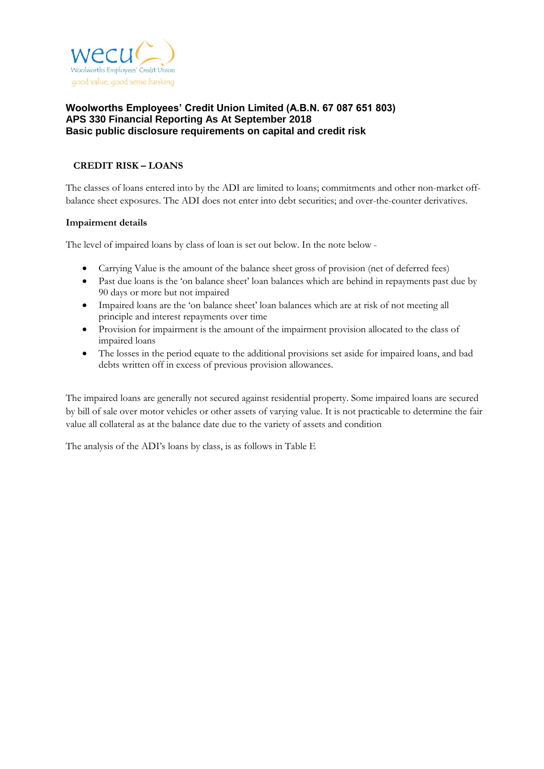

# **CREDIT RISK – LOANS**

The classes of loans entered into by the ADI are limited to loans; commitments and other non-market offbalance sheet exposures. The ADI does not enter into debt securities; and over-the-counter derivatives.

## **Impairment details**

The level of impaired loans by class of loan is set out below. In the note below -

- Carrying Value is the amount of the balance sheet gross of provision (net of deferred fees)
- Past due loans is the 'on balance sheet' loan balances which are behind in repayments past due by 90 days or more but not impaired
- Impaired loans are the 'on balance sheet' loan balances which are at risk of not meeting all principle and interest repayments over time
- Provision for impairment is the amount of the impairment provision allocated to the class of impaired loans
- The losses in the period equate to the additional provisions set aside for impaired loans, and bad debts written off in excess of previous provision allowances.

The impaired loans are generally not secured against residential property. Some impaired loans are secured by bill of sale over motor vehicles or other assets of varying value. It is not practicable to determine the fair value all collateral as at the balance date due to the variety of assets and condition

The analysis of the ADI's loans by class, is as follows in Table E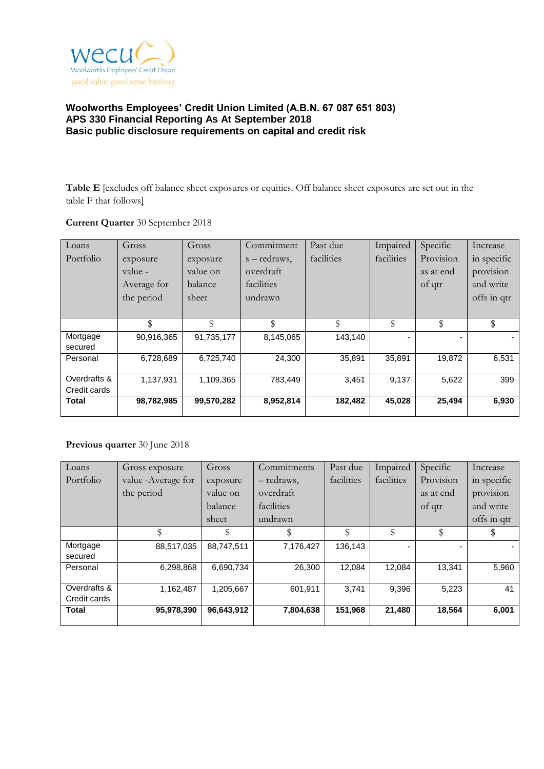

**Table E** [excludes off balance sheet exposures or equities. Off balance sheet exposures are set out in the table F that follows]

## **Current Quarter** 30 September 2018

| Loans        | Gross       | Gross      | Commitment   | Past due   | Impaired   | Specific  | Increase    |
|--------------|-------------|------------|--------------|------------|------------|-----------|-------------|
| Portfolio    | exposure    | exposure   | s – redraws, | facilities | facilities | Provision | in specific |
|              | value -     | value on   | overdraft    |            |            | as at end | provision   |
|              | Average for | balance    | facilities   |            |            | of qtr    | and write   |
|              | the period  | sheet      | undrawn      |            |            |           | offs in qtr |
|              |             |            |              |            |            |           |             |
|              | \$          | \$         | \$           | \$         | \$         | \$        | \$          |
| Mortgage     | 90,916,365  | 91,735,177 | 8,145,065    | 143,140    |            |           |             |
| secured      |             |            |              |            |            |           |             |
| Personal     | 6,728,689   | 6,725,740  | 24,300       | 35,891     | 35,891     | 19,872    | 6,531       |
| Overdrafts & |             |            |              |            |            |           |             |
| Credit cards | 1,137,931   | 1,109,365  | 783,449      | 3,451      | 9,137      | 5,622     | 399         |
|              |             |            |              |            |            |           |             |
| Total        | 98,782,985  | 99,570,282 | 8,952,814    | 182,482    | 45,028     | 25,494    | 6,930       |

# **Previous quarter** 30 June 2018

| Loans        | Gross exposure      | Gross      | Commitments | Past due   | Impaired   | Specific  | Increase    |
|--------------|---------------------|------------|-------------|------------|------------|-----------|-------------|
| Portfolio    | value - Average for | exposure   | - redraws,  | facilities | facilities | Provision | in specific |
|              | the period          | value on   | overdraft   |            |            | as at end | provision   |
|              |                     | balance    | facilities  |            |            | of qtr    | and write   |
|              |                     | sheet      | undrawn     |            |            |           | offs in qtr |
|              | \$                  | \$         | \$          | \$         | \$         | \$        |             |
| Mortgage     | 88,517,035          | 88,747,511 | 7,176,427   | 136,143    |            |           |             |
| secured      |                     |            |             |            |            |           |             |
| Personal     | 6,298,868           | 6,690,734  | 26,300      | 12,084     | 12,084     | 13,341    | 5,960       |
|              |                     |            |             |            |            |           |             |
| Overdrafts & | 1,162,487           | 1,205,667  | 601,911     | 3,741      | 9,396      | 5,223     | 41          |
| Credit cards |                     |            |             |            |            |           |             |
| <b>Total</b> | 95,978,390          | 96,643,912 | 7,804,638   | 151,968    | 21,480     | 18,564    | 6,001       |
|              |                     |            |             |            |            |           |             |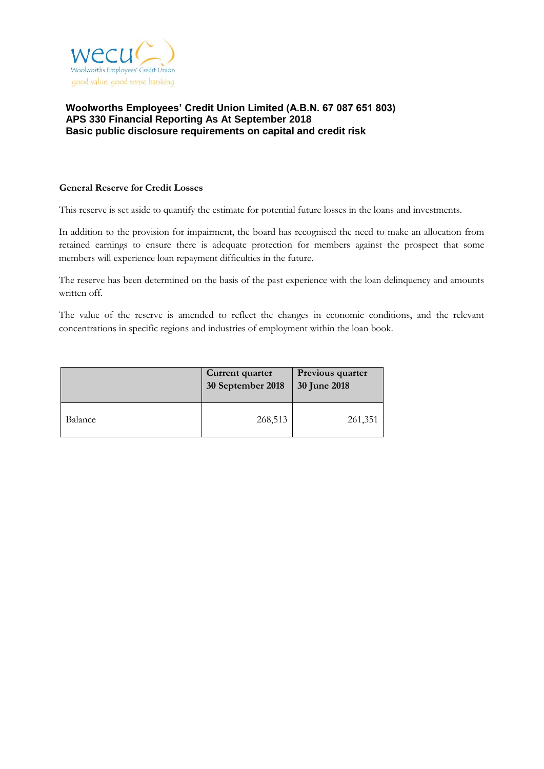

#### **General Reserve for Credit Losses**

This reserve is set aside to quantify the estimate for potential future losses in the loans and investments.

In addition to the provision for impairment, the board has recognised the need to make an allocation from retained earnings to ensure there is adequate protection for members against the prospect that some members will experience loan repayment difficulties in the future.

The reserve has been determined on the basis of the past experience with the loan delinquency and amounts written off.

The value of the reserve is amended to reflect the changes in economic conditions, and the relevant concentrations in specific regions and industries of employment within the loan book.

|         | Current quarter<br>30 September 2018 | Previous quarter<br><b>30 June 2018</b> |
|---------|--------------------------------------|-----------------------------------------|
| Balance | 268,513                              | 261,351                                 |